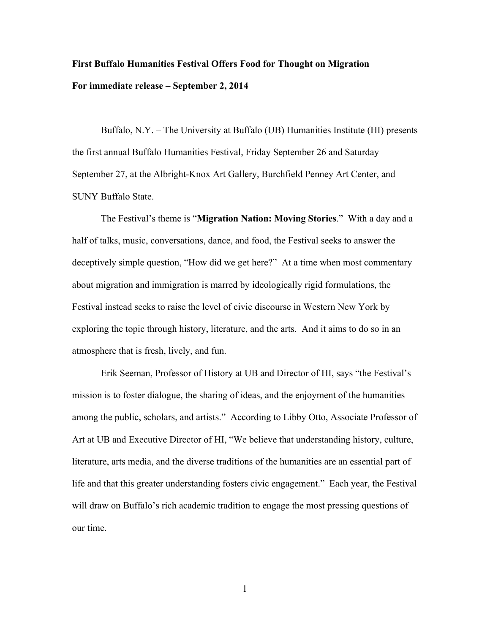## **First Buffalo Humanities Festival Offers Food for Thought on Migration For immediate release – September 2, 2014**

Buffalo, N.Y. – The University at Buffalo (UB) Humanities Institute (HI) presents the first annual Buffalo Humanities Festival, Friday September 26 and Saturday September 27, at the Albright-Knox Art Gallery, Burchfield Penney Art Center, and SUNY Buffalo State.

The Festival's theme is "**Migration Nation: Moving Stories**." With a day and a half of talks, music, conversations, dance, and food, the Festival seeks to answer the deceptively simple question, "How did we get here?" At a time when most commentary about migration and immigration is marred by ideologically rigid formulations, the Festival instead seeks to raise the level of civic discourse in Western New York by exploring the topic through history, literature, and the arts. And it aims to do so in an atmosphere that is fresh, lively, and fun.

Erik Seeman, Professor of History at UB and Director of HI, says "the Festival's mission is to foster dialogue, the sharing of ideas, and the enjoyment of the humanities among the public, scholars, and artists." According to Libby Otto, Associate Professor of Art at UB and Executive Director of HI, "We believe that understanding history, culture, literature, arts media, and the diverse traditions of the humanities are an essential part of life and that this greater understanding fosters civic engagement." Each year, the Festival will draw on Buffalo's rich academic tradition to engage the most pressing questions of our time.

1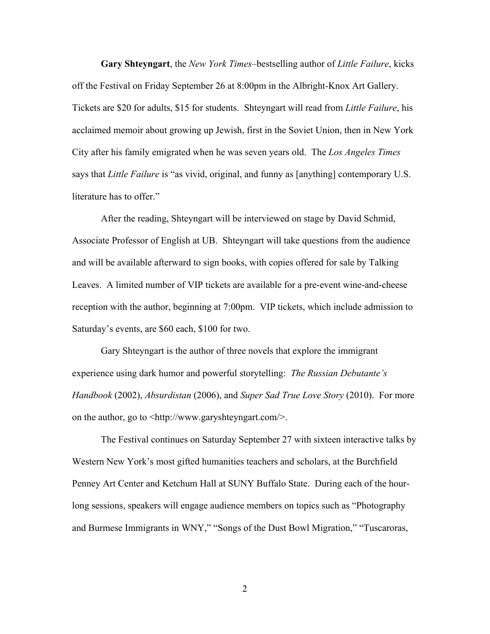**Gary Shteyngart**, the *New York Times*–bestselling author of *Little Failure*, kicks off the Festival on Friday September 26 at 8:00pm in the Albright-Knox Art Gallery. Tickets are \$20 for adults, \$15 for students. Shteyngart will read from *Little Failure*, his acclaimed memoir about growing up Jewish, first in the Soviet Union, then in New York City after his family emigrated when he was seven years old. The *Los Angeles Times* says that *Little Failure* is "as vivid, original, and funny as [anything] contemporary U.S. literature has to offer."

After the reading, Shteyngart will be interviewed on stage by David Schmid, Associate Professor of English at UB. Shteyngart will take questions from the audience and will be available afterward to sign books, with copies offered for sale by Talking Leaves. A limited number of VIP tickets are available for a pre-event wine-and-cheese reception with the author, beginning at 7:00pm. VIP tickets, which include admission to Saturday's events, are \$60 each, \$100 for two.

Gary Shteyngart is the author of three novels that explore the immigrant experience using dark humor and powerful storytelling: *The Russian Debutante's Handbook* (2002), *Absurdistan* (2006), and *Super Sad True Love Story* (2010). For more on the author, go to <http://www.garyshteyngart.com/>.

The Festival continues on Saturday September 27 with sixteen interactive talks by Western New York's most gifted humanities teachers and scholars, at the Burchfield Penney Art Center and Ketchum Hall at SUNY Buffalo State. During each of the hourlong sessions, speakers will engage audience members on topics such as "Photography and Burmese Immigrants in WNY," "Songs of the Dust Bowl Migration," "Tuscaroras,

2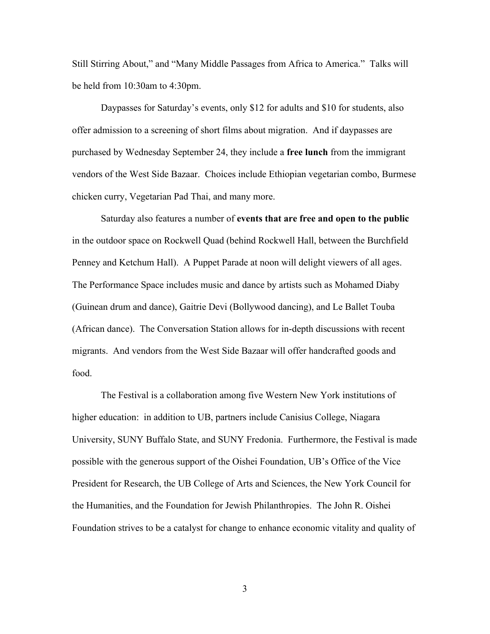Still Stirring About," and "Many Middle Passages from Africa to America." Talks will be held from 10:30am to 4:30pm.

Daypasses for Saturday's events, only \$12 for adults and \$10 for students, also offer admission to a screening of short films about migration. And if daypasses are purchased by Wednesday September 24, they include a **free lunch** from the immigrant vendors of the West Side Bazaar. Choices include Ethiopian vegetarian combo, Burmese chicken curry, Vegetarian Pad Thai, and many more.

Saturday also features a number of **events that are free and open to the public** in the outdoor space on Rockwell Quad (behind Rockwell Hall, between the Burchfield Penney and Ketchum Hall). A Puppet Parade at noon will delight viewers of all ages. The Performance Space includes music and dance by artists such as Mohamed Diaby (Guinean drum and dance), Gaitrie Devi (Bollywood dancing), and Le Ballet Touba (African dance). The Conversation Station allows for in-depth discussions with recent migrants. And vendors from the West Side Bazaar will offer handcrafted goods and food.

The Festival is a collaboration among five Western New York institutions of higher education: in addition to UB, partners include Canisius College, Niagara University, SUNY Buffalo State, and SUNY Fredonia. Furthermore, the Festival is made possible with the generous support of the Oishei Foundation, UB's Office of the Vice President for Research, the UB College of Arts and Sciences, the New York Council for the Humanities, and the Foundation for Jewish Philanthropies. The John R. Oishei Foundation strives to be a catalyst for change to enhance economic vitality and quality of

3